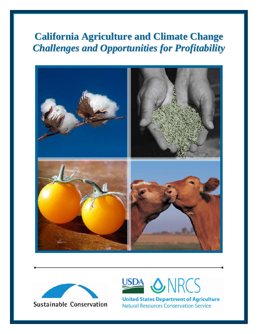# **California Agriculture and Climate Change** *Challenges and Opportunities for Profitability*







**United States Department of Agriculture Natural Resources Conservation Service**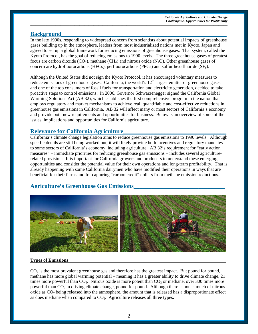### **Background**

In the late 1990s, responding to widespread concern from scientists about potential impacts of greenhouse gases building up in the atmosphere, leaders from most industrialized nations met in Kyoto, Japan and agreed to set up a global framework for reducing emissions of greenhouse gases. That system, called the Kyoto Protocol, has the goal of reducing emissions to 1990 levels. The three greenhouse gases of greatest focus are carbon dioxide (CO<sub>2</sub>), methane (CH<sub>4</sub>) and nitrous oxide (N<sub>2</sub>O). Other greenhouse gases of concern are hydrofluorocarbons (HFCs), perfluorocarbons (PFCs) and sulfur hexafluoride (SF<sub>6</sub>).

\_\_\_\_\_\_\_\_\_\_\_\_\_\_\_\_\_\_\_\_\_\_\_\_\_\_\_\_\_\_\_\_\_\_\_\_\_\_\_\_\_\_\_\_\_\_\_\_\_\_\_\_\_\_\_\_\_\_\_\_\_\_\_\_\_\_\_\_\_\_\_\_\_\_\_\_\_\_\_\_\_\_\_\_\_\_\_\_\_\_\_\_\_\_\_\_\_\_\_\_\_\_\_\_\_\_\_\_\_\_\_\_\_\_\_\_\_\_\_\_\_\_\_\_\_\_\_\_\_\_\_\_\_\_\_\_\_\_\_\_\_\_\_\_\_\_\_\_\_\_\_\_\_\_\_\_

Although the United States did not sign the Kyoto Protocol, it has encouraged voluntary measures to reduce emissions of greenhouse gases. California, the world's 12<sup>th</sup> largest emitter of greenhouse gases and one of the top consumers of fossil fuels for transportation and electricity generation, decided to take proactive steps to control emissions. In 2006, Governor Schwarzenegger signed the California Global Warming Solutions Act (AB 32), which establishes the first comprehensive program in the nation that employs regulatory and market mechanisms to achieve real, quantifiable and cost-effective reductions in greenhouse gas emissions in California. AB 32 will affect many or most sectors of California's economy and provide both new requirements and opportunities for business. Below is an overview of some of the issues, implications and opportunities for California agriculture.

### **Relevance for California Agriculture\_\_\_\_\_\_\_\_\_\_\_\_\_\_\_\_\_\_\_\_\_\_\_\_\_\_\_\_\_\_\_\_\_\_\_**

California's climate change legislation aims to reduce greenhouse gas emissions to 1990 levels. Although specific details are still being worked out, it will likely provide both incentives and regulatory mandates to some sectors of California's economy, including agriculture. AB 32's requirement for "early action measures" – immediate priorities for reducing greenhouse gas emissions – includes several agriculturerelated provisions. It is important for California growers and producers to understand these emerging opportunities and consider the potential value for their own operations and long-term profitability. That is already happening with some California dairymen who have modified their operations in ways that are beneficial for their farms and for capturing "carbon credit" dollars from methane emission reductions.

# **Agriculture's Greenhouse Gas Emissions\_\_\_\_\_\_\_\_\_\_\_\_\_\_\_\_\_\_\_\_\_\_\_\_\_\_\_\_\_\_\_**



### **Types of Emissions\_\_\_\_\_\_\_\_\_\_\_\_\_\_\_\_\_\_\_\_\_\_\_\_\_\_\_\_\_\_\_\_\_\_\_\_\_\_\_\_\_\_\_\_\_\_\_\_\_\_\_\_\_\_\_\_\_\_\_\_\_\_\_\_\_\_\_\_**

 $CO<sub>2</sub>$  is the most prevalent greenhouse gas and therefore has the greatest impact. But pound for pound, methane has more global warming potential – meaning it has a greater ability to drive climate change, 21 times more powerful than  $CO<sub>2</sub>$ . Nitrous oxide is more potent than  $CO<sub>2</sub>$  or methane, over 300 times more powerful than  $CO<sub>2</sub>$  in driving climate change, pound for pound. Although there is not as much of nitrous oxide as  $CO<sub>2</sub>$  being released into the atmosphere, the amount that is released has a disproportionate effect as does methane when compared to  $CO<sub>2</sub>$ . Agriculture releases all three types.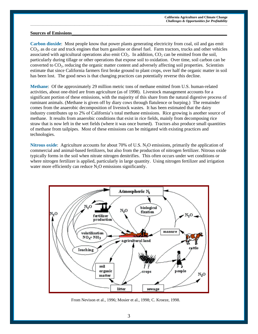#### **Sources of Emissions\_\_\_\_\_\_\_\_\_\_\_\_\_\_\_\_\_\_\_\_\_\_\_\_\_\_\_\_\_\_\_\_\_\_\_\_\_\_\_\_\_\_\_\_\_\_\_\_\_\_\_\_\_\_\_\_\_\_\_\_\_\_\_\_\_\_\_**

**Carbon dioxide**: Most people know that power plants generating electricity from coal, oil and gas emit  $CO<sub>2</sub>$ , as do car and truck engines that burn gasoline or diesel fuel. Farm tractors, trucks and other vehicles associated with agricultural operations also emit  $CO<sub>2</sub>$ . In addition,  $CO<sub>2</sub>$  can be emitted from the soil, particularly during tillage or other operations that expose soil to oxidation. Over time, soil carbon can be converted to CO2, reducing the organic matter content and adversely affecting soil properties. Scientists estimate that since California farmers first broke ground to plant crops, over half the organic matter in soil has been lost. The good news is that changing practices can potentially reverse this decline.

\_\_\_\_\_\_\_\_\_\_\_\_\_\_\_\_\_\_\_\_\_\_\_\_\_\_\_\_\_\_\_\_\_\_\_\_\_\_\_\_\_\_\_\_\_\_\_\_\_\_\_\_\_\_\_\_\_\_\_\_\_\_\_\_\_\_\_\_\_\_\_\_\_\_\_\_\_\_\_\_\_\_\_\_\_\_\_\_\_\_\_\_\_\_\_\_\_\_\_\_\_\_\_\_\_\_\_\_\_\_\_\_\_\_\_\_\_\_\_\_\_\_\_\_\_\_\_\_\_\_\_\_\_\_\_\_\_\_\_\_\_\_\_\_\_\_\_\_\_\_\_\_\_\_\_\_

**Methane**: Of the approximately 29 million metric tons of methane emitted from U.S. human-related activities, about one-third are from agriculture (as of 1998). Livestock management accounts for a significant portion of these emissions, with the majority of this share from the natural digestive process of ruminant animals. (Methane is given off by diary cows through flatulence or burping.) The remainder comes from the anaerobic decomposition of livestock wastes. It has been estimated that the dairy industry contributes up to 2% of California's total methane emissions. Rice growing is another source of methane. It results from anaerobic conditions that exist in rice fields, mainly from decomposing rice straw that is now left in the wet fields (where it was once burned). Tractors also produce small quantities of methane from tailpipes. Most of these emissions can be mitigated with existing practices and technologies.

**Nitrous oxide:** Agriculture accounts for about 70% of U.S. N<sub>2</sub>O emissions, primarily the application of commercial and animal-based fertilizers, but also from the production of nitrogen fertilizer. Nitrous oxide typically forms in the soil when nitrate nitrogen denitrifies. This often occurs under wet conditions or where nitrogen fertilizer is applied, particularly in large quantity. Using nitrogen fertilizer and irrigation water more efficiently can reduce  $N_2O$  emissions significantly.



From Nevison et al., 1996; Mosier et al., 1998; C. Kroeze, 1998.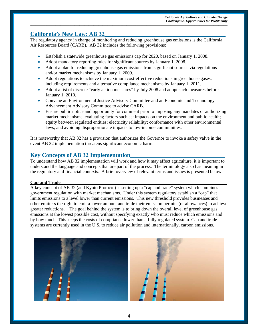# **California's New Law: AB 32\_\_\_\_\_\_\_\_\_\_\_\_\_\_\_\_\_\_\_\_\_\_\_\_\_\_\_\_\_\_\_\_\_\_\_\_\_\_\_\_\_**

The regulatory agency in charge of monitoring and reducing greenhouse gas emissions is the California Air Resources Board (CARB). AB 32 includes the following provisions:

\_\_\_\_\_\_\_\_\_\_\_\_\_\_\_\_\_\_\_\_\_\_\_\_\_\_\_\_\_\_\_\_\_\_\_\_\_\_\_\_\_\_\_\_\_\_\_\_\_\_\_\_\_\_\_\_\_\_\_\_\_\_\_\_\_\_\_\_\_\_\_\_\_\_\_\_\_\_\_\_\_\_\_\_\_\_\_\_\_\_\_\_\_\_\_\_\_\_\_\_\_\_\_\_\_\_\_\_\_\_\_\_\_\_\_\_\_\_\_\_\_\_\_\_\_\_\_\_\_\_\_\_\_\_\_\_\_\_\_\_\_\_\_\_\_\_\_\_\_\_\_\_\_\_\_\_

- Establish a statewide greenhouse gas emissions cap for 2020, based on January 1, 2008.
- Adopt mandatory reporting rules for significant sources by January 1, 2008.
- Adopt a plan for reducing greenhouse gas emissions from significant sources via regulations and/or market mechanisms by January 1, 2009.
- Adopt regulations to achieve the maximum cost-effective reductions in greenhouse gases, including requirements and alternative compliance mechanisms by January 1, 2011.
- Adopt a list of discrete "early action measures" by July 2008 and adopt such measures before January 1, 2010.
- Convene an Environmental Justice Advisory Committee and an Economic and Technology Advancement Advisory Committee to advise CARB.
- Ensure public notice and opportunity for comment prior to imposing any mandates or authorizing market mechanisms, evaluating factors such as: impacts on the environment and public health; equity between regulated entities; electricity reliability; conformance with other environmental laws, and avoiding disproportionate impacts to low-income communities.

It is noteworthy that AB 32 has a provision that authorizes the Governor to invoke a safety valve in the event AB 32 implementation threatens significant economic harm.

### **Key Concepts of AB 32 Implementation\_\_\_\_\_\_\_\_\_\_\_\_\_\_\_\_\_\_\_\_\_\_\_\_\_\_\_\_\_\_\_\_**

To understand how AB 32 implementation will work and how it may affect agriculture, it is important to understand the language and concepts that are part of the process. The terminology also has meaning in the regulatory and financial contexts. A brief overview of relevant terms and issues is presented below.

### **Cap and Trade\_\_\_\_\_\_\_\_\_\_\_\_\_\_\_\_\_\_\_\_\_\_\_\_\_\_\_\_\_\_\_\_\_\_\_\_\_\_\_\_\_\_\_\_\_\_\_\_\_\_\_\_\_\_\_\_\_\_\_\_\_\_\_\_\_\_\_\_\_\_\_\_**

A key concept of AB 32 (and Kyoto Protocol) is setting up a "cap and trade" system which combines government regulation with market mechanisms. Under this system regulators establish a "cap" that limits emissions to a level lower than current emissions. This new threshold provides businesses and other emitters the right to emit a lower amount and trade their emission permits (or allowances) to achieve greater reductions. The goal behind the system is to bring down the overall level of greenhouse gas emissions at the lowest possible cost, without specifying exactly who must reduce which emissions and by how much. This keeps the costs of compliance lower than a fully regulated system. Cap and trade systems are currently used in the U.S. to reduce air pollution and internationally, carbon emissions.



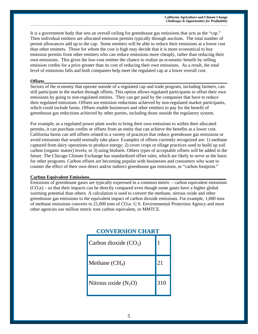It is a government body that sets an overall ceiling for greenhouse gas emissions that acts as the "cap." Then individual emitters are allocated emission permits typically through auctions. The total number of permit allowances add up to the cap. Some emitters will be able to reduce their emissions at a lower cost than other emitters. Those for whom the cost is high may decide that it is more economical to buy emission permits from other emitters who can reduce emissions more cheaply, rather than reducing their own emissions. This gives the low-cost emitter the chance to realize an economic benefit by selling emission credits for a price greater than its cost of reducing their own emissions. As a result, the total level of emissions falls and both companies help meet the regulated cap at a lower overall cost.

\_\_\_\_\_\_\_\_\_\_\_\_\_\_\_\_\_\_\_\_\_\_\_\_\_\_\_\_\_\_\_\_\_\_\_\_\_\_\_\_\_\_\_\_\_\_\_\_\_\_\_\_\_\_\_\_\_\_\_\_\_\_\_\_\_\_\_\_\_\_\_\_\_\_\_\_\_\_\_\_\_\_\_\_\_\_\_\_\_\_\_\_\_\_\_\_\_\_\_\_\_\_\_\_\_\_\_\_\_\_\_\_\_\_\_\_\_\_\_\_\_\_\_\_\_\_\_\_\_\_\_\_\_\_\_\_\_\_\_\_\_\_\_\_\_\_\_\_\_\_\_\_\_\_\_\_

### **Offsets\_\_\_\_\_\_\_\_\_\_\_\_\_\_\_\_\_\_\_\_\_\_\_\_\_\_\_\_\_\_\_\_\_\_\_\_\_\_\_\_\_\_\_\_\_\_\_\_\_\_\_\_\_\_\_\_\_\_\_\_\_\_\_\_\_\_\_\_\_\_\_\_\_\_\_\_\_\_\_**

Sectors of the economy that operate outside of a regulated cap and trade program, including farmers, can still participate in the market through offsets. This option allows regulated participants to offset their own emissions by going to non-regulated entities. They can get paid by the companies that have to reduce their regulated emissions. Offsets are emission reductions achieved by non-regulated market participants, which could include farms. Offsets enable businesses and other emitters to pay for the benefit of greenhouse gas reductions achieved by other parties, including those outside the regulatory system.

For example, as a regulated power plant works to bring their own emissions to within their allocated permits, it can purchase credits or offsets from an entity that can achieve the benefits at a lower cost. California farms can sell offsets related to a variety of practices that reduce greenhouse gas emissions or avoid emissions that would normally take place. Examples of offsets currently recognized are: 1) methane captured from dairy operations to produce energy; 2) cover crops or tillage practices used to build up soil carbon (organic matter) levels; or 3) using biofuels. Others types of acceptable offsets will be added in the future. The Chicago Climate Exchange has standardized offset rules, which are likely to serve as the basis for other programs. Carbon offsets are becoming popular with businesses and consumers who want to counter the effect of their own direct and/or indirect greenhouse gas emissions, or "carbon footprint."

#### **Carbon Equivalent Emissions**

Emissions of greenhouse gases are typically expressed in a common metric – carbon equivalent emissions  $(CO<sub>2</sub>e)$  – so that their impacts can be directly compared even though some gases have a higher global warming potential than others. A calculation is used to convert the methane, nitrous oxide and other greenhouse gas emissions to the equivalent impact of carbon dioxide emissions. For example, 1,000 tons of methane emissions converts to 21,000 tons of CO<sub>2</sub>e. U.S. Environmental Protection Agency and most other agencies use million metric tons carbon equivalent, or MMTCE.

| <b>CONVERSION CHART</b> |     |
|-------------------------|-----|
| Carbon dioxide $(CO2)$  |     |
| Methane $(CH_4)$        | 21  |
| Nitrous oxide $(N_2O)$  | 310 |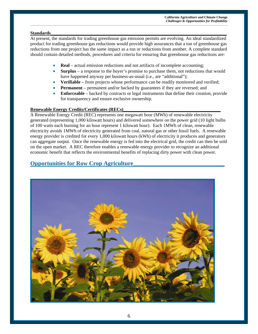#### **Standards\_\_\_\_\_\_\_\_\_\_\_\_\_\_\_\_\_\_\_\_\_\_\_\_\_\_\_\_\_\_\_\_\_\_\_\_\_\_\_\_\_\_\_\_\_\_\_\_\_\_\_\_\_\_\_\_\_\_\_\_\_\_\_\_\_\_\_\_\_\_\_\_\_\_\_\_**

At present, the standards for trading greenhouse gas emission permits are evolving. An ideal standardized product for trading greenhouse gas reductions would provide high assurances that a ton of greenhouse gas reductions from one project has the same impact as a ton or reductions from another. A complete standard should contain detailed methods, procedures and criteria for ensuring that greenhouse gas reductions are:

\_\_\_\_\_\_\_\_\_\_\_\_\_\_\_\_\_\_\_\_\_\_\_\_\_\_\_\_\_\_\_\_\_\_\_\_\_\_\_\_\_\_\_\_\_\_\_\_\_\_\_\_\_\_\_\_\_\_\_\_\_\_\_\_\_\_\_\_\_\_\_\_\_\_\_\_\_\_\_\_\_\_\_\_\_\_\_\_\_\_\_\_\_\_\_\_\_\_\_\_\_\_\_\_\_\_\_\_\_\_\_\_\_\_\_\_\_\_\_\_\_\_\_\_\_\_\_\_\_\_\_\_\_\_\_\_\_\_\_\_\_\_\_\_\_\_\_\_\_\_\_\_\_\_\_\_

- **Real** actual emission reductions and not artifacts of incomplete accounting;
- **Surplus** a response to the buyer's promise to purchase them, not reductions that would have happened anyway per business-as-usual (i.e., are "additional");
- **Verifiable** from projects whose performance can be readily monitored and verified;
- **Permanent** permanent and/or backed by guarantees if they are reversed; and
- **Enforceable** backed by contracts or legal instruments that define their creation, provide for transparency and ensure exclusive ownership.

### Renewable Energy Credits/Certificates (RECs)

A Renewable Energy Credit (REC) represents one megawatt hour (MWh) of renewable electricity generated (representing 1,000 kilowatt hours) and delivered somewhere on the power grid (10 light bulbs of 100 watts each burning for an hour represent 1 kilowatt hour). Each 1MWh of clean, renewable electricity avoids 1MWh of electricity generated from coal, natural gas or other fossil fuels. A renewable energy provider is credited for every 1,000 kilowatt hours (kWh) of electricity it produces and generators can aggregate output. Once the renewable energy is fed into the electrical grid, the credit can then be sold on the open market. A REC therefore enables a renewable energy provider to recognize an additional economic benefit that reflects the environmental benefits of replacing dirty power with clean power.

# **Opportunities for Row Crop Agriculture**

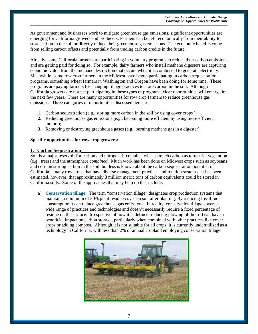As government and businesses work to mitigate greenhouse gas emissions, significant opportunities are emerging for California growers and producers. Farmers can benefit economically from their ability to store carbon in the soil or directly reduce their greenhouse gas emissions. The economic benefits come from selling carbon offsets and potentially from trading carbon credits in the future.

\_\_\_\_\_\_\_\_\_\_\_\_\_\_\_\_\_\_\_\_\_\_\_\_\_\_\_\_\_\_\_\_\_\_\_\_\_\_\_\_\_\_\_\_\_\_\_\_\_\_\_\_\_\_\_\_\_\_\_\_\_\_\_\_\_\_\_\_\_\_\_\_\_\_\_\_\_\_\_\_\_\_\_\_\_\_\_\_\_\_\_\_\_\_\_\_\_\_\_\_\_\_\_\_\_\_\_\_\_\_\_\_\_\_\_\_\_\_\_\_\_\_\_\_\_\_\_\_\_\_\_\_\_\_\_\_\_\_\_\_\_\_\_\_\_\_\_\_\_\_\_\_\_\_\_\_

Already, some California farmers are participating in voluntary programs to reduce their carbon emissions and are getting paid for doing so. For example, dairy farmers who install methane digesters are capturing economic value from the methane destruction that occurs when it is combusted to generate electricity. Meanwhile, some row crop farmers in the Midwest have begun participating in carbon sequestration programs, something wheat farmers in Washington and Oregon have been doing for some time. These programs are paying farmers for changing tillage practices to store carbon in the soil. Although California growers are not yet participating in these types of programs, clear opportunities will emerge in the next few years. There are many opportunities for row crop farmers to reduce greenhouse gas emissions. Three categories of opportunities discussed here are:

- **1.** Carbon sequestration (e.g., storing more carbon in the soil by using cover crops);
- **2.** Reducing greenhouse gas emissions (e.g., becoming more efficient by using more efficient motors);
- **3.** Removing or destroying greenhouse gases (e.g., burning methane gas in a digester).

#### **Specific opportunities for row crop growers:**

#### **1. Carbon Sequestration\_\_\_\_\_\_\_\_\_\_\_\_\_\_\_\_\_\_\_\_\_\_\_\_\_\_\_\_\_\_\_\_\_\_\_\_\_\_\_\_\_\_\_\_\_\_\_\_\_\_\_\_\_\_\_\_\_\_\_\_\_\_\_**

Soil is a major reservoir for carbon and nitrogen. It contains twice as much carbon as terrestrial vegetation (e.g., trees) and the atmosphere *combined*. Much work has been done on Midwest crops such as soybeans and corn on storing carbon in the soil, but less is known about the carbon sequestration potential of California's many row crops that have diverse management practices and rotation systems. It has been estimated, however, that approximately 3 million metric tons of carbon equivalents could be stored in California soils. Some of the approaches that may help do that include:

a) **Conservation tillage**: The term "conservation tillage" designates crop production systems that maintain a minimum of 30% plant residue cover on soil after planting. By reducing fossil fuel consumption it can reduce greenhouse gas emissions. In reality, conservation tillage covers a wide range of practices and technologies and doesn't necessarily require a fixed percentage of residue on the surface. Irrespective of how it is defined, reducing plowing of the soil can have a beneficial impact on carbon storage, particularly when combined with other practices like cover crops or adding compost. Although it is not suitable for all crops, it is currently underutilized as a technology in California, with less than 2% of annual cropland employing conservation tillage.

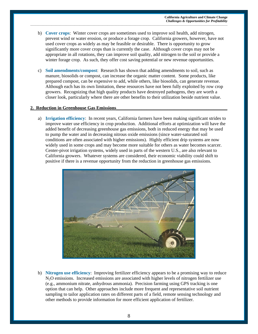b) **Cover crops**:Winter cover crops are sometimes used to improve soil health, add nitrogen, prevent wind or water erosion, or produce a forage crop. California growers, however, have not used cover crops as widely as may be feasible or desirable. There is opportunity to grow significantly more cover crops than is currently the case. Although cover crops may not be appropriate in all rotations, they can improve soil quality, add nitrogen to the soil or provide a winter forage crop. As such, they offer cost saving potential or new revenue opportunities.

\_\_\_\_\_\_\_\_\_\_\_\_\_\_\_\_\_\_\_\_\_\_\_\_\_\_\_\_\_\_\_\_\_\_\_\_\_\_\_\_\_\_\_\_\_\_\_\_\_\_\_\_\_\_\_\_\_\_\_\_\_\_\_\_\_\_\_\_\_\_\_\_\_\_\_\_\_\_\_\_\_\_\_\_\_\_\_\_\_\_\_\_\_\_\_\_\_\_\_\_\_\_\_\_\_\_\_\_\_\_\_\_\_\_\_\_\_\_\_\_\_\_\_\_\_\_\_\_\_\_\_\_\_\_\_\_\_\_\_\_\_\_\_\_\_\_\_\_\_\_\_\_\_\_\_\_

c) **Soil amendments/compost**: Research has shown that adding amendments to soil, such as manure, biosolids or compost, can increase the organic matter content. Some products, like prepared compost, can be expensive to add, while others, like biosolids, can generate revenue. Although each has its own limitation, these resources have not been fully exploited by row crop growers. Recognizing that high quality products have destroyed pathogens, they are worth a closer look, particularly where there are other benefits to their utilization beside nutrient value.

#### **2. Reduction in Greenhouse Gas Emissions\_\_\_\_\_\_\_\_\_\_\_\_\_\_\_\_\_\_\_\_\_\_\_\_\_\_\_\_\_\_\_\_\_\_\_\_\_\_\_\_\_\_\_\_\_\_\_\_**

a) **Irrigation efficiency**: In recent years, California farmers have been making significant strides to improve water use efficiency in crop production. Additional efforts at optimization will have the added benefit of decreasing greenhouse gas emissions, both in reduced energy that may be used to pump the water and in decreasing nitrous oxide emissions (since water-saturated soil conditions are often associated with higher emissions). Highly efficient drip systems are now widely used in some crops and may become more suitable for others as water becomes scarcer. Center-pivot irrigation systems, widely used in parts of the western U.S., are also relevant to California growers. Whatever systems are considered, their economic viability could shift to positive if there is a revenue opportunity from the reduction in greenhouse gas emissions.



b) **Nitrogen use efficiency**: Improving fertilizer efficiency appears to be a promising way to reduce N<sub>2</sub>O emissions. Increased emissions are associated with higher levels of nitrogen fertilizer use (e.g., ammonium nitrate, anhydrous ammonia). Precision farming using GPS tracking is one option that can help. Other approaches include more frequent and representative soil nutrient sampling to tailor application rates on different parts of a field, remote sensing technology and other methods to provide information for more efficient application of fertilizer.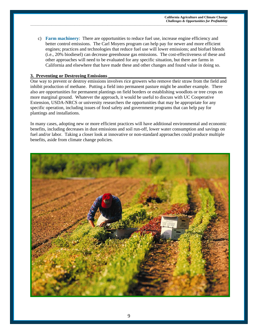c) **Farm machinery**: There are opportunities to reduce fuel use, increase engine efficiency and better control emissions. The Carl Moyers program can help pay for newer and more efficient engines; practices and technologies that reduce fuel use will lower emissions; and biofuel blends (i.e., 20% biodiesel) can decrease greenhouse gas emissions. The cost-effectiveness of these and other approaches will need to be evaluated for any specific situation, but there are farms in California and elsewhere that have made these and other changes and found value in doing so.

\_\_\_\_\_\_\_\_\_\_\_\_\_\_\_\_\_\_\_\_\_\_\_\_\_\_\_\_\_\_\_\_\_\_\_\_\_\_\_\_\_\_\_\_\_\_\_\_\_\_\_\_\_\_\_\_\_\_\_\_\_\_\_\_\_\_\_\_\_\_\_\_\_\_\_\_\_\_\_\_\_\_\_\_\_\_\_\_\_\_\_\_\_\_\_\_\_\_\_\_\_\_\_\_\_\_\_\_\_\_\_\_\_\_\_\_\_\_\_\_\_\_\_\_\_\_\_\_\_\_\_\_\_\_\_\_\_\_\_\_\_\_\_\_\_\_\_\_\_\_\_\_\_\_\_\_

### **3. Preventing or Destroving Emissions**

One way to prevent or destroy emissions involves rice growers who remove their straw from the field and inhibit production of methane. Putting a field into permanent pasture might be another example. There also are opportunities for permanent plantings on field borders or establishing woodlots or tree crops on more marginal ground. Whatever the approach, it would be useful to discuss with UC Cooperative Extension, USDA-NRCS or university researchers the opportunities that may be appropriate for any specific operation, including issues of food safety and government programs that can help pay for plantings and installations.

In many cases, adopting new or more efficient practices will have additional environmental and economic benefits, including decreases in dust emissions and soil run-off, lower water consumption and savings on fuel and/or labor. Taking a closer look at innovative or non-standard approaches could produce multiple benefits, aside from climate change policies.

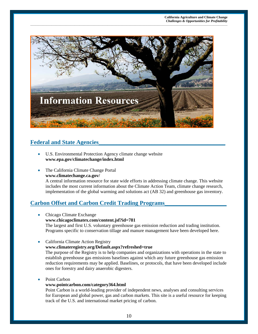

\_\_\_\_\_\_\_\_\_\_\_\_\_\_\_\_\_\_\_\_\_\_\_\_\_\_\_\_\_\_\_\_\_\_\_\_\_\_\_\_\_\_\_\_\_\_\_\_\_\_\_\_\_\_\_\_\_\_\_\_\_\_\_\_\_\_\_\_\_\_\_\_\_\_\_\_\_\_\_\_\_\_\_\_\_\_\_\_\_\_\_\_\_\_\_\_\_\_\_\_\_\_\_\_\_\_\_\_\_\_\_\_\_\_\_\_\_\_\_\_\_\_\_\_\_\_\_\_\_\_\_\_\_\_\_\_\_\_\_\_\_\_\_\_\_\_\_\_\_\_\_\_\_\_\_\_

# **Federal and State Agencies\_\_\_\_\_\_\_\_\_\_\_\_\_\_\_\_\_\_\_\_\_\_\_\_\_\_\_\_\_\_\_\_\_\_\_\_\_\_\_\_\_\_\_**

- U.S. Environmental Protection Agency climate change website **www.epa.gov/climatechange/index.html**
- The California Climate Change Portal **www.climatechange.ca.gov/**

A central information resource for state wide efforts in addressing climate change. This website includes the most current information about the Climate Action Team, climate change research, implementation of the global warming and solutions act (AB 32) and greenhouse gas inventory.

# **Carbon Offset and Carbon Credit Trading Programs\_\_\_\_\_\_\_\_\_\_\_\_\_\_\_\_\_\_\_\_\_**

- Chicago Climate Exchange **www.chicagoclimatex.com/content.jsf?id=781** The largest and first U.S. voluntary greenhouse gas emission reduction and trading institution. Programs specific to conservation tillage and manure management have been developed here.
- California Climate Action Registry **www.climateregistry.org/Default.aspx?refreshed=true** The purpose of the Registry is to help companies and organizations with operations in the state to

establish greenhouse gas emissions baselines against which any future greenhouse gas emission reduction requirements may be applied. Baselines, or protocols, that have been developed include ones for forestry and dairy anaerobic digesters.

Point Carbon

### **www.pointcarbon.com/category364.html**

Point Carbon is a world-leading provider of independent news, analyses and consulting services for European and global power, gas and carbon markets. This site is a useful resource for keeping track of the U.S. and international market pricing of carbon.